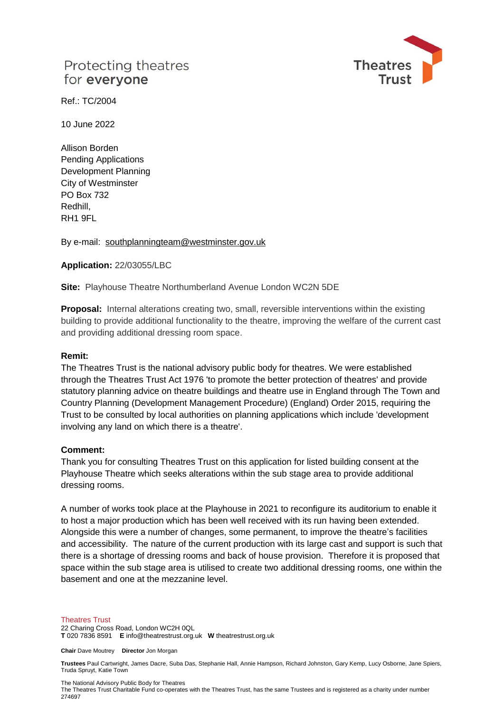# Protecting theatres for everyone



Ref.: TC/2004

10 June 2022

Allison Borden Pending Applications Development Planning City of Westminster PO Box 732 Redhill, RH1 9FL

By e-mail: [southplanningteam@westminster.gov.uk](mailto:southplanningteam@westminster.gov.uk)

### **Application:** 22/03055/LBC

**Site:** Playhouse Theatre Northumberland Avenue London WC2N 5DE

**Proposal:** Internal alterations creating two, small, reversible interventions within the existing building to provide additional functionality to the theatre, improving the welfare of the current cast and providing additional dressing room space.

#### **Remit:**

The Theatres Trust is the national advisory public body for theatres. We were established through the Theatres Trust Act 1976 'to promote the better protection of theatres' and provide statutory planning advice on theatre buildings and theatre use in England through The Town and Country Planning (Development Management Procedure) (England) Order 2015, requiring the Trust to be consulted by local authorities on planning applications which include 'development involving any land on which there is a theatre'.

#### **Comment:**

Thank you for consulting Theatres Trust on this application for listed building consent at the Playhouse Theatre which seeks alterations within the sub stage area to provide additional dressing rooms.

A number of works took place at the Playhouse in 2021 to reconfigure its auditorium to enable it to host a major production which has been well received with its run having been extended. Alongside this were a number of changes, some permanent, to improve the theatre's facilities and accessibility. The nature of the current production with its large cast and support is such that there is a shortage of dressing rooms and back of house provision. Therefore it is proposed that space within the sub stage area is utilised to create two additional dressing rooms, one within the basement and one at the mezzanine level.

#### Theatres Trust

22 Charing Cross Road, London WC2H 0QL **T** 020 7836 8591 **E** info@theatrestrust.org.uk **W** theatrestrust.org.uk

**Chair** Dave Moutrey **Director** Jon Morgan

**Trustees** Paul Cartwright, James Dacre, Suba Das, Stephanie Hall, Annie Hampson, Richard Johnston, Gary Kemp, Lucy Osborne, Jane Spiers, Truda Spruyt, Katie Town

The National Advisory Public Body for Theatres

The Theatres Trust Charitable Fund co-operates with the Theatres Trust, has the same Trustees and is registered as a charity under number 274697